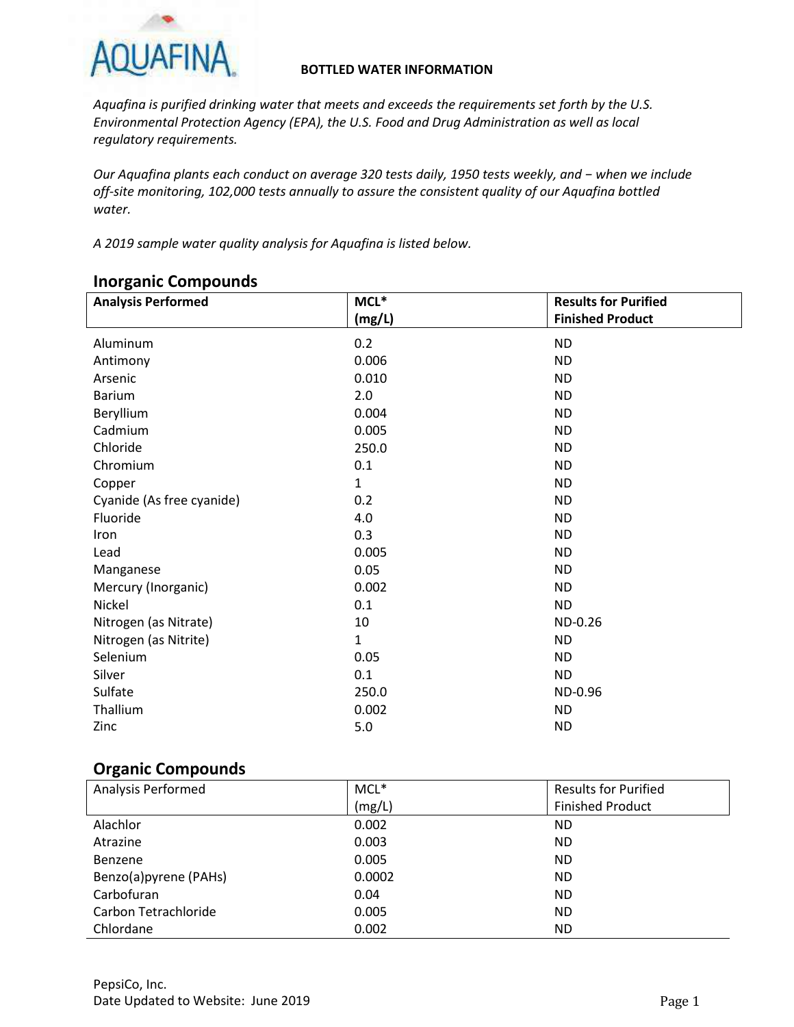

#### **BOTTLED WATER INFORMATION**

*Aquafina is purified drinking water that meets and exceeds the requirements set forth by the U.S. Environmental Protection Agency (EPA), the U.S. Food and Drug Administration as well as local regulatory requirements.* 

*Our Aquafina plants each conduct on average 320 tests daily, 1950 tests weekly, and − when we include off-site monitoring, 102,000 tests annually to assure the consistent quality of our Aquafina bottled water.* 

*A 2019 sample water quality analysis for Aquafina is listed below.* 

| <b>Analysis Performed</b> | $MCL^*$      | <b>Results for Purified</b> |
|---------------------------|--------------|-----------------------------|
|                           | (mg/L)       | <b>Finished Product</b>     |
| Aluminum                  | 0.2          | <b>ND</b>                   |
| Antimony                  | 0.006        | <b>ND</b>                   |
| Arsenic                   | 0.010        | <b>ND</b>                   |
| <b>Barium</b>             | 2.0          | <b>ND</b>                   |
| Beryllium                 | 0.004        | <b>ND</b>                   |
| Cadmium                   | 0.005        | <b>ND</b>                   |
| Chloride                  | 250.0        | <b>ND</b>                   |
| Chromium                  | 0.1          | <b>ND</b>                   |
| Copper                    | $\mathbf{1}$ | <b>ND</b>                   |
| Cyanide (As free cyanide) | 0.2          | <b>ND</b>                   |
| Fluoride                  | 4.0          | <b>ND</b>                   |
| Iron                      | 0.3          | <b>ND</b>                   |
| Lead                      | 0.005        | <b>ND</b>                   |
| Manganese                 | 0.05         | <b>ND</b>                   |
| Mercury (Inorganic)       | 0.002        | <b>ND</b>                   |
| Nickel                    | 0.1          | <b>ND</b>                   |
| Nitrogen (as Nitrate)     | 10           | ND-0.26                     |
| Nitrogen (as Nitrite)     | $\mathbf{1}$ | <b>ND</b>                   |
| Selenium                  | 0.05         | <b>ND</b>                   |
| Silver                    | 0.1          | <b>ND</b>                   |
| Sulfate                   | 250.0        | ND-0.96                     |
| Thallium                  | 0.002        | <b>ND</b>                   |
| Zinc                      | 5.0          | <b>ND</b>                   |

# **Inorganic Compounds**

### **Organic Compounds**

| Analysis Performed    | MCL*   | <b>Results for Purified</b> |
|-----------------------|--------|-----------------------------|
|                       | (mg/L) | <b>Finished Product</b>     |
| Alachlor              | 0.002  | <b>ND</b>                   |
| Atrazine              | 0.003  | <b>ND</b>                   |
| Benzene               | 0.005  | <b>ND</b>                   |
| Benzo(a)pyrene (PAHs) | 0.0002 | <b>ND</b>                   |
| Carbofuran            | 0.04   | <b>ND</b>                   |
| Carbon Tetrachloride  | 0.005  | <b>ND</b>                   |
| Chlordane             | 0.002  | <b>ND</b>                   |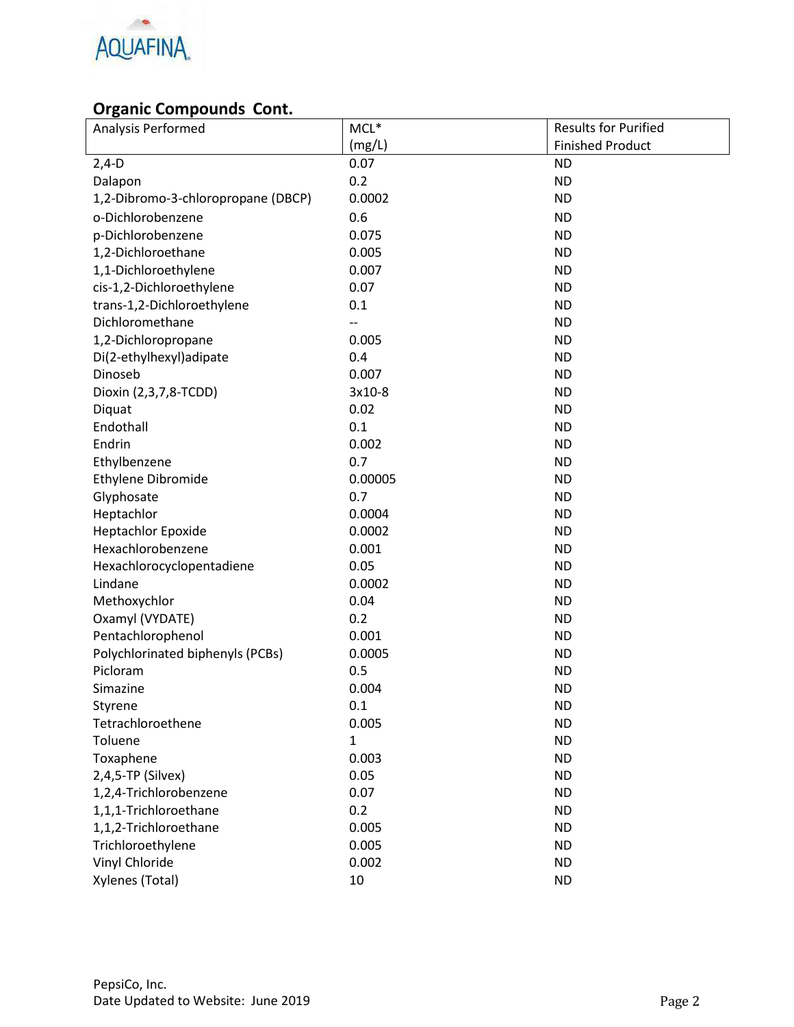

# **Organic Compounds Cont.**

| Analysis Performed                 | $MCL^*$      | <b>Results for Purified</b> |
|------------------------------------|--------------|-----------------------------|
|                                    | (mg/L)       | <b>Finished Product</b>     |
| $2,4-D$                            | 0.07         | <b>ND</b>                   |
| Dalapon                            | 0.2          | <b>ND</b>                   |
| 1,2-Dibromo-3-chloropropane (DBCP) | 0.0002       | <b>ND</b>                   |
| o-Dichlorobenzene                  | 0.6          | <b>ND</b>                   |
| p-Dichlorobenzene                  | 0.075        | <b>ND</b>                   |
| 1,2-Dichloroethane                 | 0.005        | <b>ND</b>                   |
| 1,1-Dichloroethylene               | 0.007        | <b>ND</b>                   |
| cis-1,2-Dichloroethylene           | 0.07         | <b>ND</b>                   |
| trans-1,2-Dichloroethylene         | 0.1          | <b>ND</b>                   |
| Dichloromethane                    |              | <b>ND</b>                   |
| 1,2-Dichloropropane                | 0.005        | <b>ND</b>                   |
| Di(2-ethylhexyl)adipate            | 0.4          | <b>ND</b>                   |
| Dinoseb                            | 0.007        | <b>ND</b>                   |
| Dioxin (2,3,7,8-TCDD)              | 3x10-8       | <b>ND</b>                   |
| Diquat                             | 0.02         | <b>ND</b>                   |
| Endothall                          | 0.1          | <b>ND</b>                   |
| Endrin                             | 0.002        | <b>ND</b>                   |
| Ethylbenzene                       | 0.7          | <b>ND</b>                   |
| Ethylene Dibromide                 | 0.00005      | <b>ND</b>                   |
| Glyphosate                         | 0.7          | <b>ND</b>                   |
| Heptachlor                         | 0.0004       | <b>ND</b>                   |
| <b>Heptachlor Epoxide</b>          | 0.0002       | <b>ND</b>                   |
| Hexachlorobenzene                  | 0.001        | <b>ND</b>                   |
| Hexachlorocyclopentadiene          | 0.05         | <b>ND</b>                   |
| Lindane                            | 0.0002       | <b>ND</b>                   |
| Methoxychlor                       | 0.04         | <b>ND</b>                   |
| Oxamyl (VYDATE)                    | 0.2          | <b>ND</b>                   |
| Pentachlorophenol                  | 0.001        | <b>ND</b>                   |
| Polychlorinated biphenyls (PCBs)   | 0.0005       | <b>ND</b>                   |
| Picloram                           | 0.5          | <b>ND</b>                   |
| Simazine                           | 0.004        | <b>ND</b>                   |
| Styrene                            | 0.1          | <b>ND</b>                   |
| Tetrachloroethene                  | 0.005        | <b>ND</b>                   |
| Toluene                            | $\mathbf{1}$ | <b>ND</b>                   |
| Toxaphene                          | 0.003        | <b>ND</b>                   |
| 2,4,5-TP (Silvex)                  | 0.05         | <b>ND</b>                   |
| 1,2,4-Trichlorobenzene             | 0.07         | <b>ND</b>                   |
| 1,1,1-Trichloroethane              | 0.2          | <b>ND</b>                   |
| 1,1,2-Trichloroethane              | 0.005        | <b>ND</b>                   |
| Trichloroethylene                  | 0.005        | <b>ND</b>                   |
| Vinyl Chloride                     | 0.002        | <b>ND</b>                   |
| Xylenes (Total)                    | 10           | <b>ND</b>                   |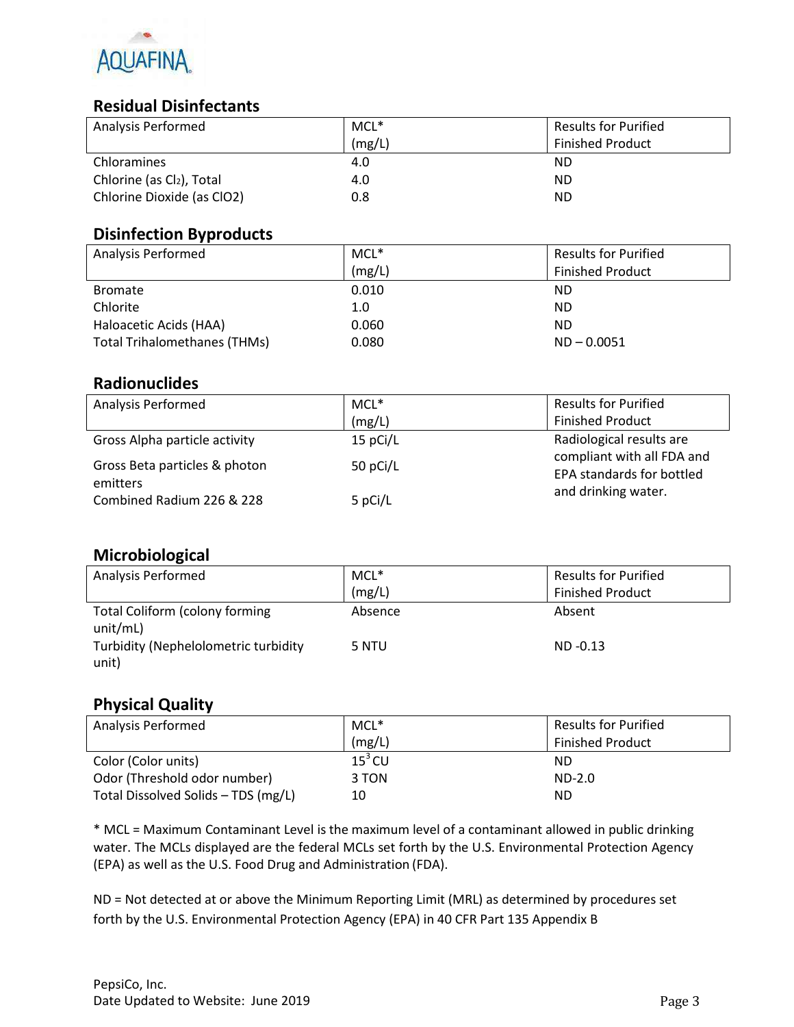

# **Residual Disinfectants**

| Analysis Performed         | MCL*   | <b>Results for Purified</b> |
|----------------------------|--------|-----------------------------|
|                            | (mg/L) | <b>Finished Product</b>     |
| Chloramines                | 4.0    | ND                          |
| Chlorine (as Cl2), Total   | 4.0    | ND                          |
| Chlorine Dioxide (as ClO2) | 0.8    | <b>ND</b>                   |

# **Disinfection Byproducts**

| Analysis Performed                  | $MCL^*$ | <b>Results for Purified</b> |
|-------------------------------------|---------|-----------------------------|
|                                     | (mg/L)  | <b>Finished Product</b>     |
| <b>Bromate</b>                      | 0.010   | ND.                         |
| Chlorite                            | 1.0     | ND.                         |
| Haloacetic Acids (HAA)              | 0.060   | ND                          |
| <b>Total Trihalomethanes (THMs)</b> | 0.080   | $ND - 0.0051$               |

### **Radionuclides**

| Analysis Performed                        | MCL*      | <b>Results for Purified</b>                                                           |
|-------------------------------------------|-----------|---------------------------------------------------------------------------------------|
|                                           | (mg/L)    | <b>Finished Product</b>                                                               |
| Gross Alpha particle activity             | 15 pCi/L  | Radiological results are                                                              |
| Gross Beta particles & photon<br>emitters | 50 pCi/L  | compliant with all FDA and<br><b>EPA standards for bottled</b><br>and drinking water. |
| Combined Radium 226 & 228                 | 5 $pCi/L$ |                                                                                       |

### **Microbiological**

| Analysis Performed                   | MCL*    | <b>Results for Purified</b> |
|--------------------------------------|---------|-----------------------------|
|                                      | (mg/L)  | <b>Finished Product</b>     |
| Total Coliform (colony forming       | Absence | Absent                      |
| unit/mL)                             |         |                             |
| Turbidity (Nephelolometric turbidity | 5 NTU   | $ND -0.13$                  |
| unit)                                |         |                             |

### **Physical Quality**

| Analysis Performed                  | MCL*      | <b>Results for Purified</b> |
|-------------------------------------|-----------|-----------------------------|
|                                     | (mg/L)    | <b>Finished Product</b>     |
| Color (Color units)                 | $15^3$ CU | ND.                         |
| Odor (Threshold odor number)        | 3 TON     | $ND-2.0$                    |
| Total Dissolved Solids - TDS (mg/L) | 10        | <b>ND</b>                   |

\* MCL = Maximum Contaminant Level is the maximum level of a contaminant allowed in public drinking water. The MCLs displayed are the federal MCLs set forth by the U.S. Environmental Protection Agency (EPA) as well as the U.S. Food Drug and Administration (FDA).

ND = Not detected at or above the Minimum Reporting Limit (MRL) as determined by procedures set forth by the U.S. Environmental Protection Agency (EPA) in 40 CFR Part 135 Appendix B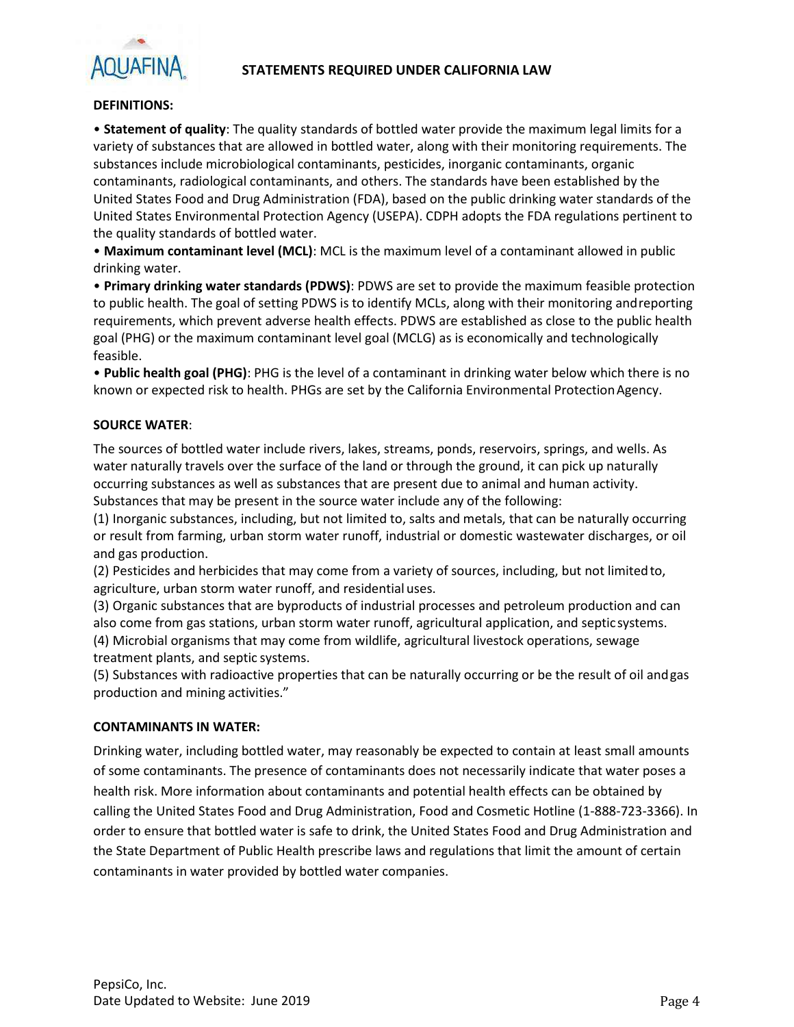



#### **DEFINITIONS:**

• **Statement of quality**: The quality standards of bottled water provide the maximum legal limits for a variety of substances that are allowed in bottled water, along with their monitoring requirements. The substances include microbiological contaminants, pesticides, inorganic contaminants, organic contaminants, radiological contaminants, and others. The standards have been established by the United States Food and Drug Administration (FDA), based on the public drinking water standards of the United States Environmental Protection Agency (USEPA). CDPH adopts the FDA regulations pertinent to the quality standards of bottled water.

• **Maximum contaminant level (MCL)**: MCL is the maximum level of a contaminant allowed in public drinking water.

• **Primary drinking water standards (PDWS)**: PDWS are set to provide the maximum feasible protection to public health. The goal of setting PDWS is to identify MCLs, along with their monitoring and reporting requirements, which prevent adverse health effects. PDWS are established as close to the public health goal (PHG) or the maximum contaminant level goal (MCLG) as is economically and technologically feasible.

• **Public health goal (PHG)**: PHG is the level of a contaminant in drinking water below which there is no known or expected risk to health. PHGs are set by the California Environmental Protection Agency.

#### **SOURCE WATER**:

The sources of bottled water include rivers, lakes, streams, ponds, reservoirs, springs, and wells. As water naturally travels over the surface of the land or through the ground, it can pick up naturally occurring substances as well as substances that are present due to animal and human activity. Substances that may be present in the source water include any of the following:

(1) Inorganic substances, including, but not limited to, salts and metals, that can be naturally occurring or result from farming, urban storm water runoff, industrial or domestic wastewater discharges, or oil and gas production.

(2) Pesticides and herbicides that may come from a variety of sources, including, but not limited to, agriculture, urban storm water runoff, and residential uses.

(3) Organic substances that are byproducts of industrial processes and petroleum production and can also come from gas stations, urban storm water runoff, agricultural application, and septic systems. (4) Microbial organisms that may come from wildlife, agricultural livestock operations, sewage treatment plants, and septic systems.

(5) Substances with radioactive properties that can be naturally occurring or be the result of oil and gas production and mining activities."

#### **CONTAMINANTS IN WATER:**

Drinking water, including bottled water, may reasonably be expected to contain at least small amounts of some contaminants. The presence of contaminants does not necessarily indicate that water poses a health risk. More information about contaminants and potential health effects can be obtained by calling the United States Food and Drug Administration, Food and Cosmetic Hotline (1-888-723-3366). In order to ensure that bottled water is safe to drink, the United States Food and Drug Administration and the State Department of Public Health prescribe laws and regulations that limit the amount of certain contaminants in water provided by bottled water companies.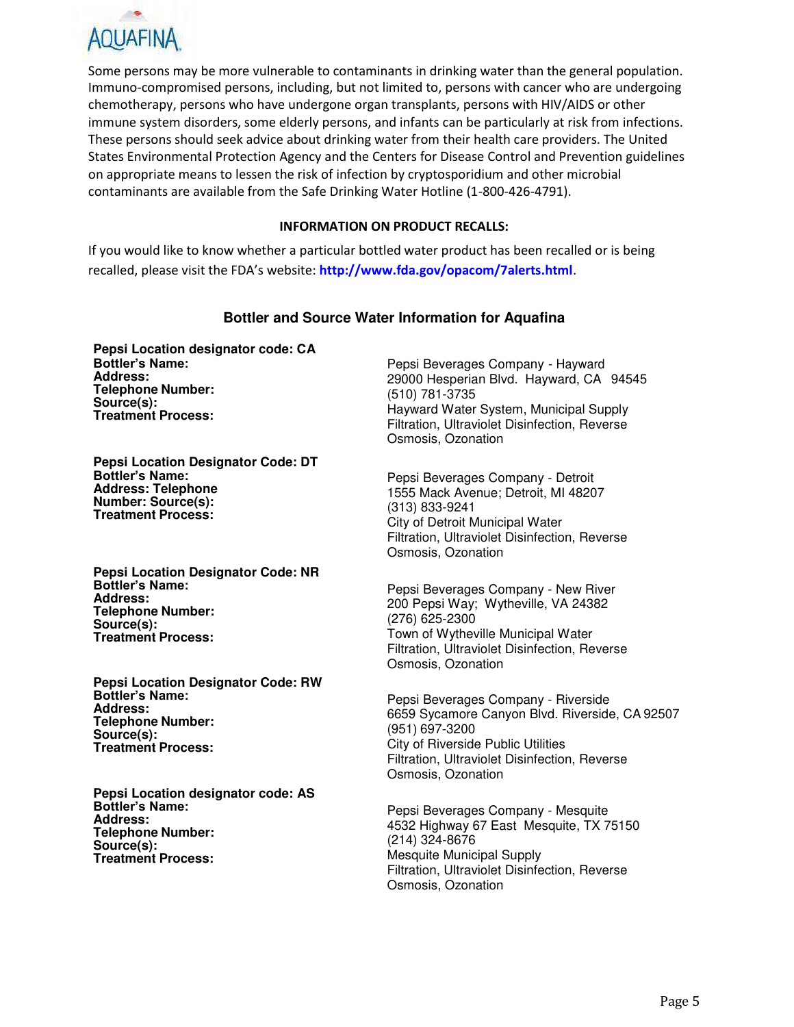

Some persons may be more vulnerable to contaminants in drinking water than the general population. Immuno-compromised persons, including, but not limited to, persons with cancer who are undergoing chemotherapy, persons who have undergone organ transplants, persons with HIV/AIDS or other immune system disorders, some elderly persons, and infants can be particularly at risk from infections. These persons should seek advice about drinking water from their health care providers. The United States Environmental Protection Agency and the Centers for Disease Control and Prevention guidelines on appropriate means to lessen the risk of infection by cryptosporidium and other microbial contaminants are available from the Safe Drinking Water Hotline (1-800-426-4791).

#### **INFORMATION ON PRODUCT RECALLS:**

If you would like to know whether a particular bottled water product has been recalled or is being recalled, please visit the FDA's website: **<http://www.fda.gov/opacom/7alerts.html>**.

#### **Bottler and Source Water Information for Aquafina**

**Pepsi Location designator code: CA Bottler's Name: Address: Telephone Number: Source(s): Treatment Process:** 

**Pepsi Location Designator Code: DT Bottler's Name: Address: Telephone Number: Source(s): Treatment Process:** 

**Pepsi Location Designator Code: NR Bottler's Name: Address: Telephone Number: Source(s): Treatment Process:** 

**Pepsi Location Designator Code: RW Bottler's Name: Address: Telephone Number: Source(s): Treatment Process:** 

**Pepsi Location designator code: AS Bottler's Name: Address: Telephone Number: Source(s): Treatment Process:** 

Pepsi Beverages Company - Hayward 29000 Hesperian Blvd. Hayward, CA 94545 (510) 781-3735 Hayward Water System, Municipal Supply Filtration, Ultraviolet Disinfection, Reverse Osmosis, Ozonation

Pepsi Beverages Company - Detroit 1555 Mack Avenue; Detroit, MI 48207 (313) 833-9241 City of Detroit Municipal Water Filtration, Ultraviolet Disinfection, Reverse Osmosis, Ozonation

Pepsi Beverages Company - New River 200 Pepsi Way; Wytheville, VA 24382 (276) 625-2300 Town of Wytheville Municipal Water Filtration, Ultraviolet Disinfection, Reverse Osmosis, Ozonation

Pepsi Beverages Company - Riverside 6659 Sycamore Canyon Blvd. Riverside, CA 92507 (951) 697-3200 City of Riverside Public Utilities Filtration, Ultraviolet Disinfection, Reverse Osmosis, Ozonation

Pepsi Beverages Company - Mesquite 4532 Highway 67 East Mesquite, TX 75150 (214) 324-8676 Mesquite Municipal Supply Filtration, Ultraviolet Disinfection, Reverse Osmosis, Ozonation